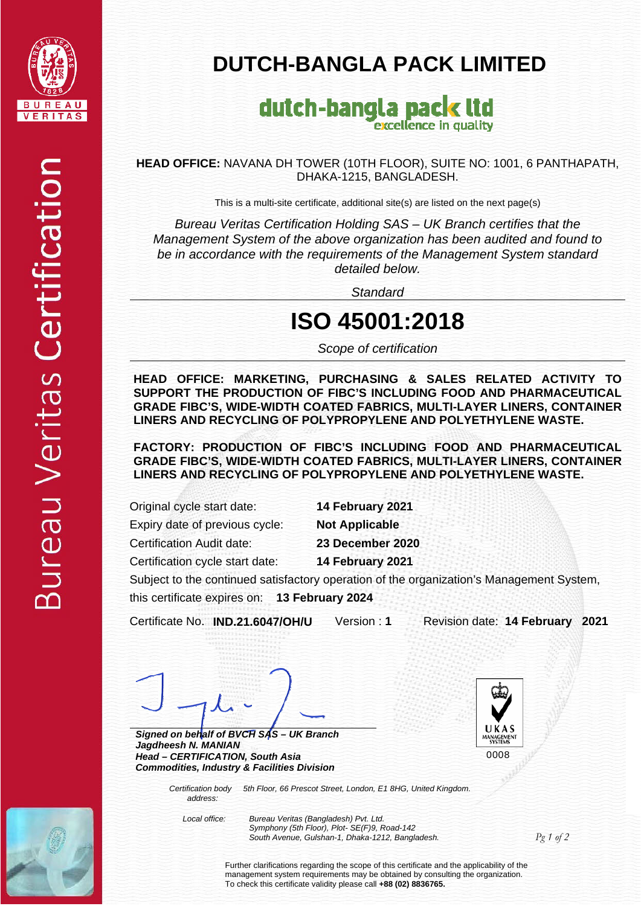

## **DUTCH-BANGLA PACK LIMITED**

#### dutch-bangla pack ltd excellence in quality

**HEAD OFFICE:** NAVANA DH TOWER (10TH FLOOR), SUITE NO: 1001, 6 PANTHAPATH, DHAKA-1215, BANGLADESH.

This is a multi-site certificate, additional site(s) are listed on the next page(s)

*Bureau Veritas Certification Holding SAS – UK Branch certifies that the Management System of the above organization has been audited and found to be in accordance with the requirements of the Management System standard detailed below.* 

*Standard* 

### **ISO 45001:2018**

*Scope of certification* 

**HEAD OFFICE: MARKETING, PURCHASING & SALES RELATED ACTIVITY TO SUPPORT THE PRODUCTION OF FIBC'S INCLUDING FOOD AND PHARMACEUTICAL GRADE FIBC'S, WIDE-WIDTH COATED FABRICS, MULTI-LAYER LINERS, CONTAINER LINERS AND RECYCLING OF POLYPROPYLENE AND POLYETHYLENE WASTE.** 

**FACTORY: PRODUCTION OF FIBC'S INCLUDING FOOD AND PHARMACEUTICAL GRADE FIBC'S, WIDE-WIDTH COATED FABRICS, MULTI-LAYER LINERS, CONTAINER LINERS AND RECYCLING OF POLYPROPYLENE AND POLYETHYLENE WASTE.**

Original cycle start date: **14 February 2021** 

Expiry date of previous cycle: **Not Applicable**  Certification Audit date: **23 December 2020** 

Certification cycle start date: **14 February 2021** 

Subject to the continued satisfactory operation of the organization's Management System,

this certificate expires on: **13 February 2024** 

Certificate No. **IND.21.6047/OH/U** Version : **1** Revision date: **14 February 2021** 

*Signed on behalf of BVCH SAS – UK Branch Jagdheesh N. MANIAN Head – CERTIFICATION, South Asia Commodities, Industry & Facilities Division*



 *Certification body 5th Floor, 66 Prescot Street, London, E1 8HG, United Kingdom. address:*

 *Local office: Bureau Veritas (Bangladesh) Pvt. Ltd. Symphony (5th Floor), Plot- SE(F)9, Road-142 South Avenue, Gulshan-1, Dhaka-1212, Bangladesh.* 

*Pg 1 of 2* 

Further clarifications regarding the scope of this certificate and the applicability of the management system requirements may be obtained by consulting the organization. To check this certificate validity please call **+88 (02) 8836765.**